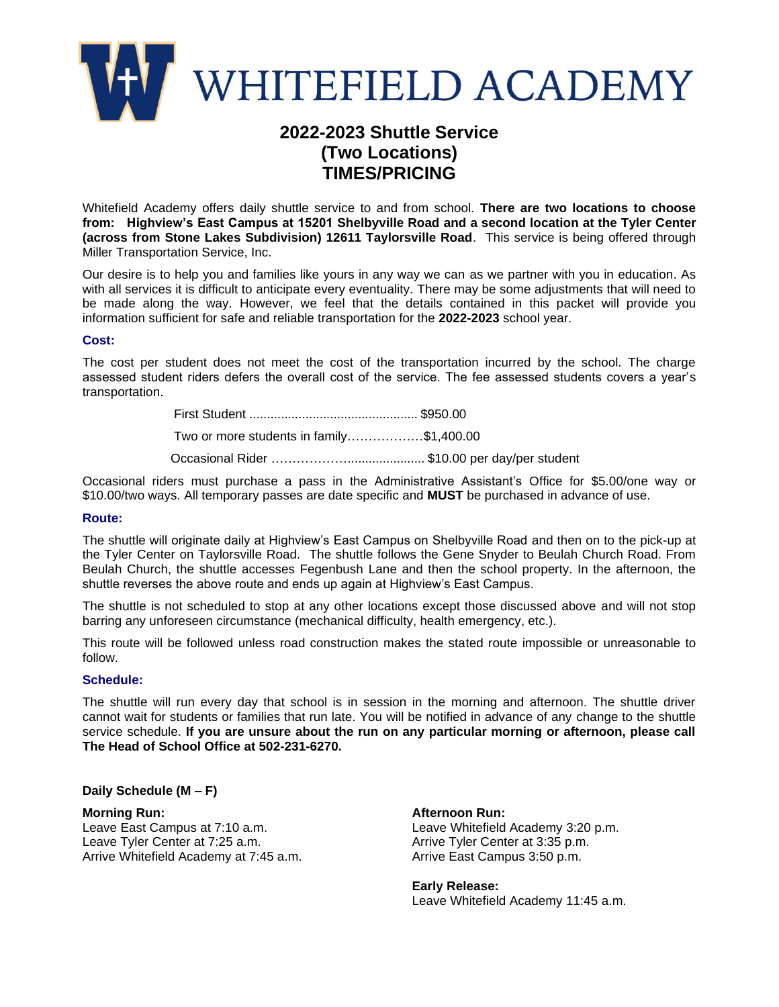

# **2022-2023 Shuttle Service (Two Locations) TIMES/PRICING**

Whitefield Academy offers daily shuttle service to and from school. **There are two locations to choose from: Highview's East Campus at 15201 Shelbyville Road and a second location at the Tyler Center (across from Stone Lakes Subdivision) 12611 Taylorsville Road**. This service is being offered through Miller Transportation Service, Inc.

Our desire is to help you and families like yours in any way we can as we partner with you in education. As with all services it is difficult to anticipate every eventuality. There may be some adjustments that will need to be made along the way. However, we feel that the details contained in this packet will provide you information sufficient for safe and reliable transportation for the **2022-2023** school year.

#### **Cost:**

The cost per student does not meet the cost of the transportation incurred by the school. The charge assessed student riders defers the overall cost of the service. The fee assessed students covers a year's transportation.

> First Student ................................................ \$950.00 Two or more students in family………………\$1,400.00 Occasional Rider ………………...................... \$10.00 per day/per student

Occasional riders must purchase a pass in the Administrative Assistant's Office for \$5.00/one way or \$10.00/two ways. All temporary passes are date specific and **MUST** be purchased in advance of use.

#### **Route:**

The shuttle will originate daily at Highview's East Campus on Shelbyville Road and then on to the pick-up at the Tyler Center on Taylorsville Road. The shuttle follows the Gene Snyder to Beulah Church Road. From Beulah Church, the shuttle accesses Fegenbush Lane and then the school property. In the afternoon, the shuttle reverses the above route and ends up again at Highview's East Campus.

The shuttle is not scheduled to stop at any other locations except those discussed above and will not stop barring any unforeseen circumstance (mechanical difficulty, health emergency, etc.).

This route will be followed unless road construction makes the stated route impossible or unreasonable to follow.

### **Schedule:**

The shuttle will run every day that school is in session in the morning and afternoon. The shuttle driver cannot wait for students or families that run late. You will be notified in advance of any change to the shuttle service schedule. **If you are unsure about the run on any particular morning or afternoon, please call The Head of School Office at 502-231-6270.**

### **Daily Schedule (M – F)**

**Morning Run:**  Leave East Campus at 7:10 a.m. Leave Tyler Center at 7:25 a.m. Arrive Whitefield Academy at 7:45 a.m.

**Afternoon Run:**  Leave Whitefield Academy 3:20 p.m. Arrive Tyler Center at 3:35 p.m. Arrive East Campus 3:50 p.m.

**Early Release:**  Leave Whitefield Academy 11:45 a.m.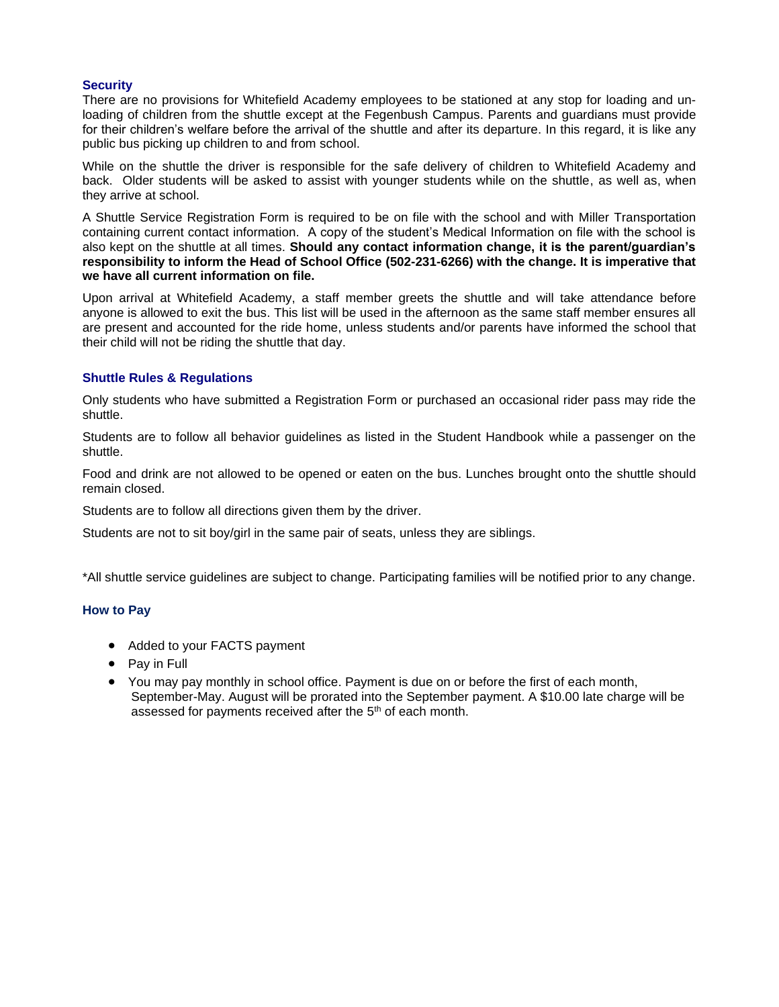# **Security**

There are no provisions for Whitefield Academy employees to be stationed at any stop for loading and unloading of children from the shuttle except at the Fegenbush Campus. Parents and guardians must provide for their children's welfare before the arrival of the shuttle and after its departure. In this regard, it is like any public bus picking up children to and from school.

While on the shuttle the driver is responsible for the safe delivery of children to Whitefield Academy and back. Older students will be asked to assist with younger students while on the shuttle, as well as, when they arrive at school.

A Shuttle Service Registration Form is required to be on file with the school and with Miller Transportation containing current contact information. A copy of the student's Medical Information on file with the school is also kept on the shuttle at all times. **Should any contact information change, it is the parent/guardian's responsibility to inform the Head of School Office (502-231-6266) with the change. It is imperative that we have all current information on file.**

Upon arrival at Whitefield Academy, a staff member greets the shuttle and will take attendance before anyone is allowed to exit the bus. This list will be used in the afternoon as the same staff member ensures all are present and accounted for the ride home, unless students and/or parents have informed the school that their child will not be riding the shuttle that day.

# **Shuttle Rules & Regulations**

Only students who have submitted a Registration Form or purchased an occasional rider pass may ride the shuttle.

Students are to follow all behavior guidelines as listed in the Student Handbook while a passenger on the shuttle.

Food and drink are not allowed to be opened or eaten on the bus. Lunches brought onto the shuttle should remain closed.

Students are to follow all directions given them by the driver.

Students are not to sit boy/girl in the same pair of seats, unless they are siblings.

\*All shuttle service guidelines are subject to change. Participating families will be notified prior to any change.

### **How to Pay**

- Added to your FACTS payment
- Pay in Full
- You may pay monthly in school office. Payment is due on or before the first of each month, September-May. August will be prorated into the September payment. A \$10.00 late charge will be assessed for payments received after the  $5<sup>th</sup>$  of each month.